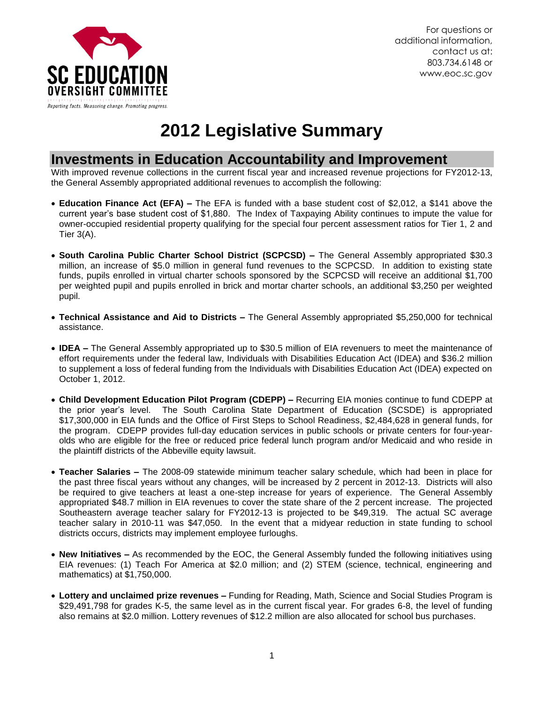

# **2012 Legislative Summary**

### **Investments in Education Accountability and Improvement**

With improved revenue collections in the current fiscal year and increased revenue projections for FY2012-13, the General Assembly appropriated additional revenues to accomplish the following:

- **Education Finance Act (EFA) –** The EFA is funded with a base student cost of \$2,012, a \$141 above the current year's base student cost of \$1,880. The Index of Taxpaying Ability continues to impute the value for owner-occupied residential property qualifying for the special four percent assessment ratios for Tier 1, 2 and Tier 3(A).
- **South Carolina Public Charter School District (SCPCSD) –** The General Assembly appropriated \$30.3 million, an increase of \$5.0 million in general fund revenues to the SCPCSD. In addition to existing state funds, pupils enrolled in virtual charter schools sponsored by the SCPCSD will receive an additional \$1,700 per weighted pupil and pupils enrolled in brick and mortar charter schools, an additional \$3,250 per weighted pupil.
- **Technical Assistance and Aid to Districts –** The General Assembly appropriated \$5,250,000 for technical assistance.
- **IDEA –** The General Assembly appropriated up to \$30.5 million of EIA revenuers to meet the maintenance of effort requirements under the federal law, Individuals with Disabilities Education Act (IDEA) and \$36.2 million to supplement a loss of federal funding from the Individuals with Disabilities Education Act (IDEA) expected on October 1, 2012.
- **Child Development Education Pilot Program (CDEPP) –** Recurring EIA monies continue to fund CDEPP at the prior year's level. The South Carolina State Department of Education (SCSDE) is appropriated \$17,300,000 in EIA funds and the Office of First Steps to School Readiness, \$2,484,628 in general funds, for the program. CDEPP provides full-day education services in public schools or private centers for four-yearolds who are eligible for the free or reduced price federal lunch program and/or Medicaid and who reside in the plaintiff districts of the Abbeville equity lawsuit.
- **Teacher Salaries –** The 2008-09 statewide minimum teacher salary schedule, which had been in place for the past three fiscal years without any changes, will be increased by 2 percent in 2012-13. Districts will also be required to give teachers at least a one-step increase for years of experience. The General Assembly appropriated \$48.7 million in EIA revenues to cover the state share of the 2 percent increase. The projected Southeastern average teacher salary for FY2012-13 is projected to be \$49,319. The actual SC average teacher salary in 2010-11 was \$47,050. In the event that a midyear reduction in state funding to school districts occurs, districts may implement employee furloughs.
- **New Initiatives –** As recommended by the EOC, the General Assembly funded the following initiatives using EIA revenues: (1) Teach For America at \$2.0 million; and (2) STEM (science, technical, engineering and mathematics) at \$1,750,000.
- **Lottery and unclaimed prize revenues –** Funding for Reading, Math, Science and Social Studies Program is \$29,491,798 for grades K-5, the same level as in the current fiscal year. For grades 6-8, the level of funding also remains at \$2.0 million. Lottery revenues of \$12.2 million are also allocated for school bus purchases.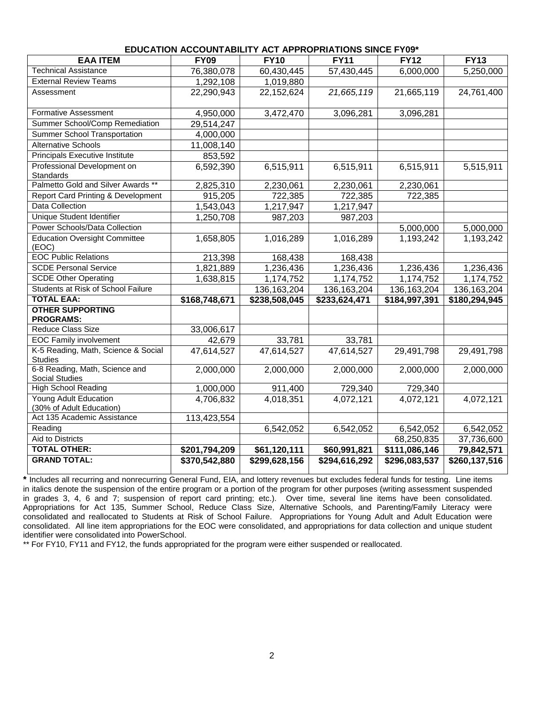| <b>EAA ITEM</b>                                       | צט ו בשמוש שמשורת ושמרות שם השבותם ומשפטשם משורת שטע<br>$\overline{FY}$ 09 | <b>FY10</b>              | <b>FY11</b>   | FY12          | <b>FY13</b>   |
|-------------------------------------------------------|----------------------------------------------------------------------------|--------------------------|---------------|---------------|---------------|
| <b>Technical Assistance</b>                           | 76,380,078                                                                 | 60,430,445               | 57,430,445    | 6,000,000     | 5,250,000     |
| <b>External Review Teams</b>                          | 1,292,108                                                                  | 1,019,880                |               |               |               |
| Assessment                                            | 22,290,943                                                                 | 22,152,624               | 21,665,119    | 21,665,119    | 24,761,400    |
| <b>Formative Assessment</b>                           | 4,950,000                                                                  | 3,472,470                | 3,096,281     | 3,096,281     |               |
| Summer School/Comp Remediation                        | 29,514,247                                                                 |                          |               |               |               |
| <b>Summer School Transportation</b>                   | 4,000,000                                                                  |                          |               |               |               |
| <b>Alternative Schools</b>                            | 11,008,140                                                                 |                          |               |               |               |
| Principals Executive Institute                        | 853,592                                                                    |                          |               |               |               |
| Professional Development on<br>Standards              | 6,592,390                                                                  | 6,515,911                | 6,515,911     | 6,515,911     | 5,515,911     |
| Palmetto Gold and Silver Awards **                    | 2,825,310                                                                  | 2,230,061                | 2,230,061     | 2,230,061     |               |
| <b>Report Card Printing &amp; Development</b>         | 915,205                                                                    | 722,385                  | 722,385       | 722,385       |               |
| Data Collection                                       | 1,543,043                                                                  | 1,217,947                | 1,217,947     |               |               |
| <b>Unique Student Identifier</b>                      | 1,250,708                                                                  | 987,203                  | 987,203       |               |               |
| Power Schools/Data Collection                         |                                                                            |                          |               | 5,000,000     | 5,000,000     |
| <b>Education Oversight Committee</b><br>(EOC)         | 1,658,805                                                                  | 1,016,289                | 1,016,289     | 1,193,242     | 1,193,242     |
| <b>EOC Public Relations</b>                           | 213,398                                                                    | 168,438                  | 168,438       |               |               |
| <b>SCDE Personal Service</b>                          | 1,821,889                                                                  | 1,236,436                | 1,236,436     | 1,236,436     | 1,236,436     |
| <b>SCDE Other Operating</b>                           | 1,638,815                                                                  | 1,174,752                | 1,174,752     | 1,174,752     | 1,174,752     |
| Students at Risk of School Failure                    |                                                                            | 136, 163, 204            | 136, 163, 204 | 136, 163, 204 | 136, 163, 204 |
| <b>TOTAL EAA:</b>                                     | \$168,748,671                                                              | \$238,508,045            | \$233,624,471 | \$184,997,391 | \$180,294,945 |
| <b>OTHER SUPPORTING</b><br><b>PROGRAMS:</b>           |                                                                            |                          |               |               |               |
| Reduce Class Size                                     | 33,006,617                                                                 |                          |               |               |               |
| <b>EOC Family involvement</b>                         | 42,679                                                                     | 33,781                   | 33,781        |               |               |
| K-5 Reading, Math, Science & Social<br><b>Studies</b> | 47,614,527                                                                 | 47,614,527               | 47,614,527    | 29,491,798    | 29,491,798    |
| 6-8 Reading, Math, Science and<br>Social Studies      | 2,000,000                                                                  | 2,000,000                | 2,000,000     | 2,000,000     | 2,000,000     |
| <b>High School Reading</b>                            | 1,000,000                                                                  | 911,400                  | 729,340       | 729,340       |               |
| Young Adult Education                                 | 4,706,832                                                                  | 4,018,351                | 4,072,121     | 4,072,121     | 4,072,121     |
| (30% of Adult Education)                              |                                                                            |                          |               |               |               |
| Act 135 Academic Assistance                           | 113,423,554                                                                |                          |               |               |               |
| Reading                                               |                                                                            | 6,542,052                | 6,542,052     | 6,542,052     | 6,542,052     |
| <b>Aid to Districts</b>                               |                                                                            |                          |               | 68,250,835    | 37,736,600    |
| <b>TOTAL OTHER:</b>                                   | \$201,794,209                                                              | $\overline{$61,120,111}$ | \$60,991,821  | \$111,086,146 | 79,842,571    |
| <b>GRAND TOTAL:</b>                                   | \$370,542,880                                                              | \$299,628,156            | \$294,616,292 | \$296,083,537 | \$260,137,516 |

#### **EDUCATION ACCOUNTABILITY ACT APPROPRIATIONS SINCE FY09\***

**\*** Includes all recurring and nonrecurring General Fund, EIA, and lottery revenues but excludes federal funds for testing. Line items in italics denote the suspension of the entire program or a portion of the program for other purposes (writing assessment suspended in grades 3, 4, 6 and 7; suspension of report card printing; etc.). Over time, several line items have been consolidated. Appropriations for Act 135, Summer School, Reduce Class Size, Alternative Schools, and Parenting/Family Literacy were consolidated and reallocated to Students at Risk of School Failure. Appropriations for Young Adult and Adult Education were consolidated. All line item appropriations for the EOC were consolidated, and appropriations for data collection and unique student identifier were consolidated into PowerSchool.

\*\* For FY10, FY11 and FY12, the funds appropriated for the program were either suspended or reallocated.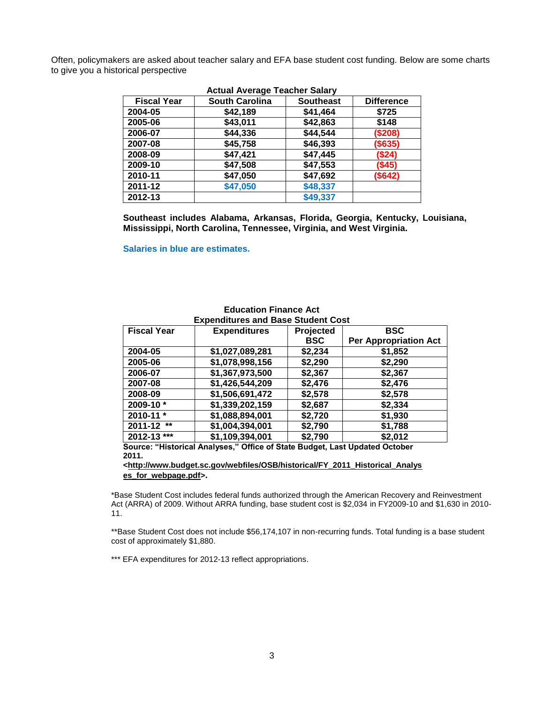Often, policymakers are asked about teacher salary and EFA base student cost funding. Below are some charts to give you a historical perspective

| <b>Fiscal Year</b> | <b>South Carolina</b> | <b>Southeast</b> | <b>Difference</b> |
|--------------------|-----------------------|------------------|-------------------|
| 2004-05            | \$42,189              | \$41,464         | \$725             |
| 2005-06            | \$43,011              | \$42,863         | \$148             |
| 2006-07            | \$44,336              | \$44,544         | (\$208)           |
| 2007-08            | \$45,758              | \$46,393         | (\$635)           |
| 2008-09            | \$47,421              | \$47,445         | (S24)             |
| 2009-10            | \$47,508              | \$47,553         | ( \$45)           |
| 2010-11            | \$47,050              | \$47,692         | (\$642)           |
| 2011-12            | \$47,050              | \$48,337         |                   |
| 2012-13            |                       | \$49,337         |                   |

#### **Actual Average Teacher Salary**

**Southeast includes Alabama, Arkansas, Florida, Georgia, Kentucky, Louisiana, Mississippi, North Carolina, Tennessee, Virginia, and West Virginia.**

**Salaries in blue are estimates.**

| <b>Fiscal Year</b> | <b>Expenditures</b> | Projected  | <b>BSC</b>                   |  |  |
|--------------------|---------------------|------------|------------------------------|--|--|
|                    |                     | <b>BSC</b> | <b>Per Appropriation Act</b> |  |  |
| 2004-05            | \$1,027,089,281     | \$2,234    | \$1,852                      |  |  |
| 2005-06            | \$1,078,998,156     | \$2,290    | \$2,290                      |  |  |
| 2006-07            | \$1,367,973,500     | \$2,367    | \$2,367                      |  |  |
| 2007-08            | \$1,426,544,209     | \$2,476    | \$2,476                      |  |  |
| 2008-09            | \$1,506,691,472     | \$2,578    | \$2,578                      |  |  |
| 2009-10*           | \$1,339,202,159     | \$2,687    | \$2,334                      |  |  |
| 2010-11 *          | \$1,088,894,001     | \$2,720    | \$1,930                      |  |  |
| 2011-12 **         | \$1,004,394,001     | \$2,790    | \$1,788                      |  |  |
| 2012-13 ***        | \$1,109,394,001     | \$2,790    | \$2,012                      |  |  |

# **Education Finance Act**

**Source: "Historical Analyses," Office of State Budget, Last Updated October 2011.**

**[<http://www.budget.sc.gov/webfiles/OSB/historical/FY\\_2011\\_Historical\\_Analys](http://www.budget.sc.gov/webfiles/OSB/historical/FY_2011_Historical_Analyses_for_webpage.pdf) [es\\_for\\_webpage.pdf>](http://www.budget.sc.gov/webfiles/OSB/historical/FY_2011_Historical_Analyses_for_webpage.pdf).**

\*Base Student Cost includes federal funds authorized through the American Recovery and Reinvestment Act (ARRA) of 2009. Without ARRA funding, base student cost is \$2,034 in FY2009-10 and \$1,630 in 2010- 11.

\*\*Base Student Cost does not include \$56,174,107 in non-recurring funds. Total funding is a base student cost of approximately \$1,880.

\*\*\* EFA expenditures for 2012-13 reflect appropriations.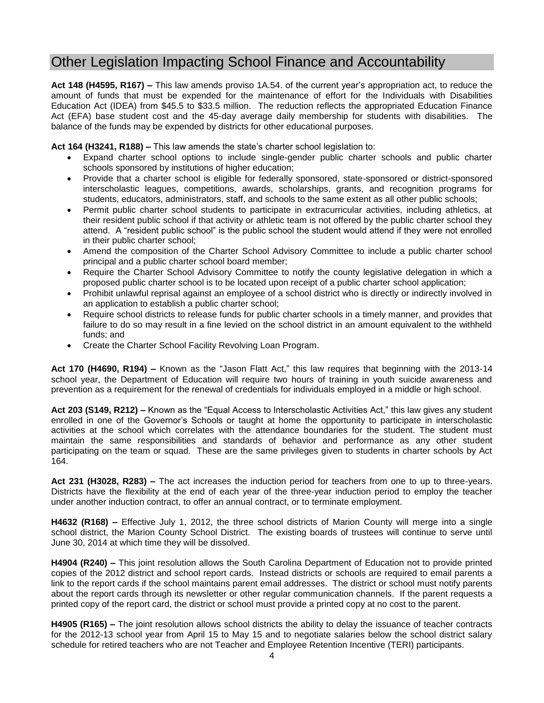# Other Legislation Impacting School Finance and Accountability

**Act 148 (H4595, R167) –** This law amends proviso 1A.54. of the current year's appropriation act, to reduce the amount of funds that must be expended for the maintenance of effort for the Individuals with Disabilities Education Act (IDEA) from \$45.5 to \$33.5 million. The reduction reflects the appropriated Education Finance Act (EFA) base student cost and the 45-day average daily membership for students with disabilities. The balance of the funds may be expended by districts for other educational purposes.

**Act 164 (H3241, R188) –** This law amends the state's charter school legislation to:

- Expand charter school options to include single-gender public charter schools and public charter schools sponsored by institutions of higher education;
- Provide that a charter school is eligible for federally sponsored, state-sponsored or district-sponsored interscholastic leagues, competitions, awards, scholarships, grants, and recognition programs for students, educators, administrators, staff, and schools to the same extent as all other public schools;
- Permit public charter school students to participate in extracurricular activities, including athletics, at their resident public school if that activity or athletic team is not offered by the public charter school they attend. A "resident public school" is the public school the student would attend if they were not enrolled in their public charter school;
- Amend the composition of the Charter School Advisory Committee to include a public charter school principal and a public charter school board member;
- Require the Charter School Advisory Committee to notify the county legislative delegation in which a proposed public charter school is to be located upon receipt of a public charter school application;
- Prohibit unlawful reprisal against an employee of a school district who is directly or indirectly involved in an application to establish a public charter school;
- Require school districts to release funds for public charter schools in a timely manner, and provides that failure to do so may result in a fine levied on the school district in an amount equivalent to the withheld funds; and
- Create the Charter School Facility Revolving Loan Program.

**Act 170 (H4690, R194) –** Known as the "Jason Flatt Act," this law requires that beginning with the 2013-14 school year, the Department of Education will require two hours of training in youth suicide awareness and prevention as a requirement for the renewal of credentials for individuals employed in a middle or high school.

**Act 203 (S149, R212) –** Known as the "Equal Access to Interscholastic Activities Act," this law gives any student enrolled in one of the Governor's Schools or taught at home the opportunity to participate in interscholastic activities at the school which correlates with the attendance boundaries for the student. The student must maintain the same responsibilities and standards of behavior and performance as any other student participating on the team or squad. These are the same privileges given to students in charter schools by Act 164.

**Act 231 (H3028, R283) –** The act increases the induction period for teachers from one to up to three-years. Districts have the flexibility at the end of each year of the three-year induction period to employ the teacher under another induction contract, to offer an annual contract, or to terminate employment.

**H4632 (R168) –** Effective July 1, 2012, the three school districts of Marion County will merge into a single school district, the Marion County School District. The existing boards of trustees will continue to serve until June 30, 2014 at which time they will be dissolved.

**H4904 (R240) –** This joint resolution allows the South Carolina Department of Education not to provide printed copies of the 2012 district and school report cards. Instead districts or schools are required to email parents a link to the report cards if the school maintains parent email addresses. The district or school must notify parents about the report cards through its newsletter or other regular communication channels. If the parent requests a printed copy of the report card, the district or school must provide a printed copy at no cost to the parent.

**H4905 (R165) –** The joint resolution allows school districts the ability to delay the issuance of teacher contracts for the 2012-13 school year from April 15 to May 15 and to negotiate salaries below the school district salary schedule for retired teachers who are not Teacher and Employee Retention Incentive (TERI) participants.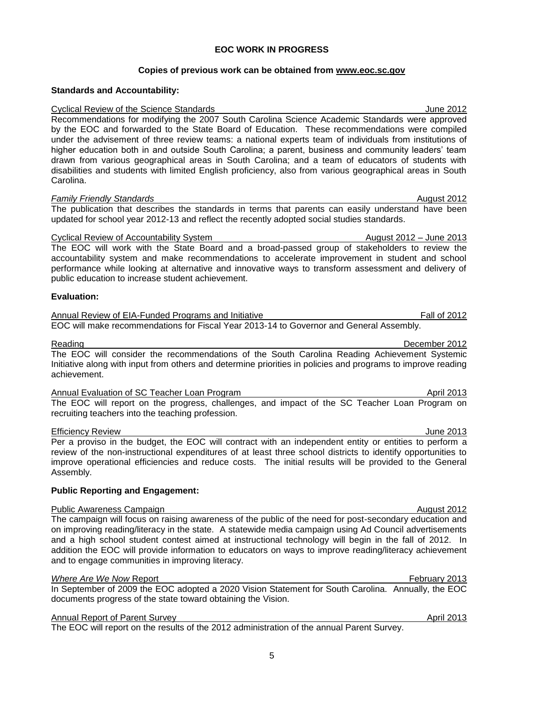#### **EOC WORK IN PROGRESS**

#### **Copies of previous work can be obtained from [www.eoc.sc.gov](http://www.eoc.sc.gov/)**

#### **Standards and Accountability:**

Cyclical Review of the Science Standards \_\_June 2012 Recommendations for modifying the 2007 South Carolina Science Academic Standards were approved by the EOC and forwarded to the State Board of Education. These recommendations were compiled under the advisement of three review teams: a national experts team of individuals from institutions of higher education both in and outside South Carolina; a parent, business and community leaders' team drawn from various geographical areas in South Carolina; and a team of educators of students with disabilities and students with limited English proficiency, also from various geographical areas in South Carolina.

#### *Family Friendly Standards* August 2012

The publication that describes the standards in terms that parents can easily understand have been updated for school year 2012-13 and reflect the recently adopted social studies standards.

#### Cyclical Review of Accountability System August 2012 – June 2013

The EOC will work with the State Board and a broad-passed group of stakeholders to review the accountability system and make recommendations to accelerate improvement in student and school performance while looking at alternative and innovative ways to transform assessment and delivery of public education to increase student achievement.

#### **Evaluation:**

Annual Review of EIA-Funded Programs and Initiative Fall of 2012 EOC will make recommendations for Fiscal Year 2013-14 to Governor and General Assembly.

#### Reading **December 2012**

The EOC will consider the recommendations of the South Carolina Reading Achievement Systemic Initiative along with input from others and determine priorities in policies and programs to improve reading achievement.

Annual Evaluation of SC Teacher Loan Program April 2013 The EOC will report on the progress, challenges, and impact of the SC Teacher Loan Program on recruiting teachers into the teaching profession.

Efficiency Review June 2013 Per a proviso in the budget, the EOC will contract with an independent entity or entities to perform a review of the non-instructional expenditures of at least three school districts to identify opportunities to improve operational efficiencies and reduce costs. The initial results will be provided to the General Assembly.

#### **Public Reporting and Engagement:**

#### Public Awareness Campaign **August 2012 August 2012**

The campaign will focus on raising awareness of the public of the need for post-secondary education and on improving reading/literacy in the state. A statewide media campaign using Ad Council advertisements and a high school student contest aimed at instructional technology will begin in the fall of 2012. In addition the EOC will provide information to educators on ways to improve reading/literacy achievement and to engage communities in improving literacy.

#### *Where Are We Now Report* February 2013

In September of 2009 the EOC adopted a 2020 Vision Statement for South Carolina. Annually, the EOC documents progress of the state toward obtaining the Vision.

#### Annual Report of Parent Survey April 2013

The EOC will report on the results of the 2012 administration of the annual Parent Survey.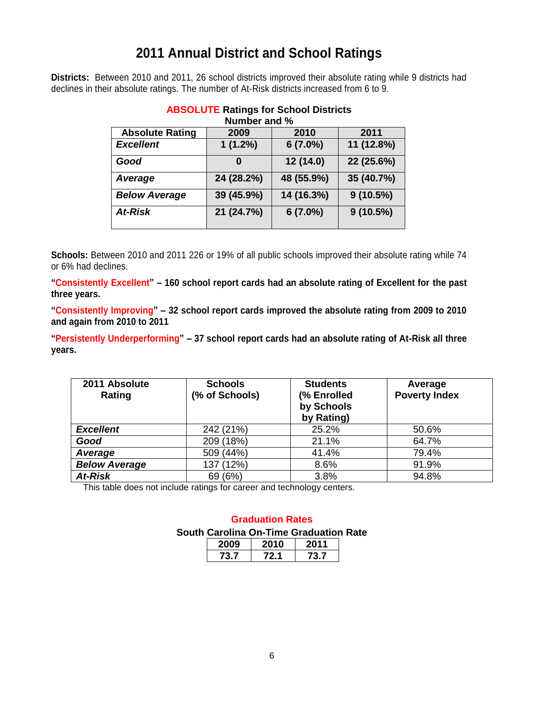# **2011 Annual District and School Ratings**

**Districts:** Between 2010 and 2011, 26 school districts improved their absolute rating while 9 districts had declines in their absolute ratings. The number of At-Risk districts increased from 6 to 9.

| Number and %           |            |            |             |  |  |  |
|------------------------|------------|------------|-------------|--|--|--|
| <b>Absolute Rating</b> | 2009       | 2010       | 2011        |  |  |  |
| <b>Excellent</b>       | $1(1.2\%)$ | $6(7.0\%)$ | 11 (12.8%)  |  |  |  |
| Good                   | O          | 12 (14.0)  | 22 (25.6%)  |  |  |  |
| Average                | 24 (28.2%) | 48 (55.9%) | 35 (40.7%)  |  |  |  |
| <b>Below Average</b>   | 39 (45.9%) | 14 (16.3%) | $9(10.5\%)$ |  |  |  |
| <b>At-Risk</b>         | 21 (24.7%) | $6(7.0\%)$ | 9(10.5%)    |  |  |  |

# **ABSOLUTE Ratings for School Districts**

**Schools:** Between 2010 and 2011 226 or 19% of all public schools improved their absolute rating while 74 or 6% had declines.

**"Consistently Excellent" – 160 school report cards had an absolute rating of Excellent for the past three years.**

**"Consistently Improving" – 32 school report cards improved the absolute rating from 2009 to 2010 and again from 2010 to 2011**

**"Persistently Underperforming" – 37 school report cards had an absolute rating of At-Risk all three years.**

| 2011 Absolute<br>Rating | <b>Schools</b><br>(% of Schools) | <b>Students</b><br>(% Enrolled<br>by Schools<br>by Rating) | Average<br><b>Poverty Index</b> |
|-------------------------|----------------------------------|------------------------------------------------------------|---------------------------------|
| <b>Excellent</b>        | 242 (21%)                        | 25.2%                                                      | 50.6%                           |
| Good                    | 209 (18%)                        | 21.1%                                                      | 64.7%                           |
| Average                 | 509 (44%)                        | 41.4%                                                      | 79.4%                           |
| <b>Below Average</b>    | 137 (12%)                        | 8.6%                                                       | 91.9%                           |
| At-Risk                 | 69 (6%)                          | 3.8%                                                       | 94.8%                           |

This table does not include ratings for career and technology centers.

### **Graduation Rates South Carolina On-Time Graduation Rate**

| צי | IJ  | 11 |
|----|-----|----|
|    | , 1 |    |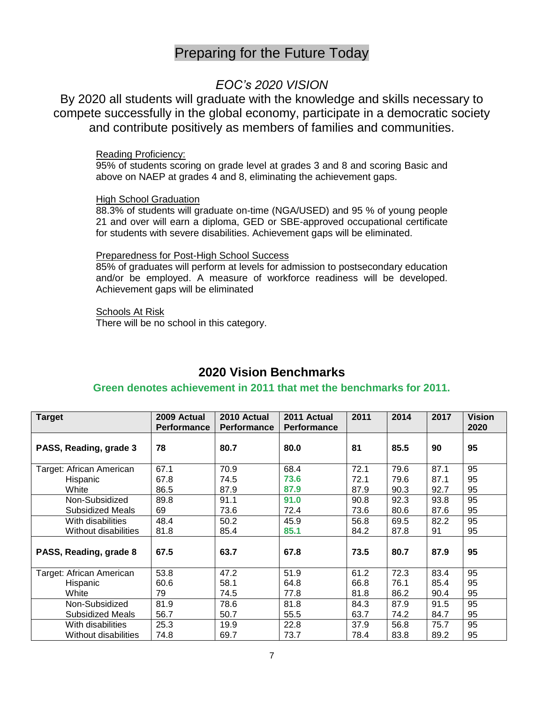# Preparing for the Future Today

### *EOC's 2020 VISION*

By 2020 all students will graduate with the knowledge and skills necessary to compete successfully in the global economy, participate in a democratic society and contribute positively as members of families and communities.

#### Reading Proficiency:

95% of students scoring on grade level at grades 3 and 8 and scoring Basic and above on NAEP at grades 4 and 8, eliminating the achievement gaps.

#### High School Graduation

88.3% of students will graduate on-time (NGA/USED) and 95 % of young people 21 and over will earn a diploma, GED or SBE-approved occupational certificate for students with severe disabilities. Achievement gaps will be eliminated.

#### Preparedness for Post-High School Success

85% of graduates will perform at levels for admission to postsecondary education and/or be employed. A measure of workforce readiness will be developed. Achievement gaps will be eliminated

#### Schools At Risk

There will be no school in this category.

## **2020 Vision Benchmarks**

#### **Green denotes achievement in 2011 that met the benchmarks for 2011.**

| <b>Target</b>            | 2009 Actual<br><b>Performance</b> | 2010 Actual<br><b>Performance</b> | 2011 Actual<br><b>Performance</b> | 2011 | 2014 | 2017 | Vision<br>2020 |
|--------------------------|-----------------------------------|-----------------------------------|-----------------------------------|------|------|------|----------------|
| PASS, Reading, grade 3   | 78                                | 80.7                              | 80.0                              | 81   | 85.5 | 90   | 95             |
| Target: African American | 67.1                              | 70.9                              | 68.4                              | 72.1 | 79.6 | 87.1 | 95             |
| Hispanic                 | 67.8                              | 74.5                              | 73.6                              | 72.1 | 79.6 | 87.1 | 95             |
| White                    | 86.5                              | 87.9                              | 87.9                              | 87.9 | 90.3 | 92.7 | 95             |
| Non-Subsidized           | 89.8                              | 91.1                              | 91.0                              | 90.8 | 92.3 | 93.8 | 95             |
| Subsidized Meals         | 69                                | 73.6                              | 72.4                              | 73.6 | 80.6 | 87.6 | 95             |
| With disabilities        | 48.4                              | 50.2                              | 45.9                              | 56.8 | 69.5 | 82.2 | 95             |
| Without disabilities     | 81.8                              | 85.4                              | 85.1                              | 84.2 | 87.8 | 91   | 95             |
| PASS, Reading, grade 8   | 67.5                              | 63.7                              | 67.8                              | 73.5 | 80.7 | 87.9 | 95             |
| Target: African American | 53.8                              | 47.2                              | 51.9                              | 61.2 | 72.3 | 83.4 | 95             |
| Hispanic                 | 60.6                              | 58.1                              | 64.8                              | 66.8 | 76.1 | 85.4 | 95             |
| White                    | 79                                | 74.5                              | 77.8                              | 81.8 | 86.2 | 90.4 | 95             |
| Non-Subsidized           | 81.9                              | 78.6                              | 81.8                              | 84.3 | 87.9 | 91.5 | 95             |
| Subsidized Meals         | 56.7                              | 50.7                              | 55.5                              | 63.7 | 74.2 | 84.7 | 95             |
| With disabilities        | 25.3                              | 19.9                              | 22.8                              | 37.9 | 56.8 | 75.7 | 95             |
| Without disabilities     | 74.8                              | 69.7                              | 73.7                              | 78.4 | 83.8 | 89.2 | 95             |